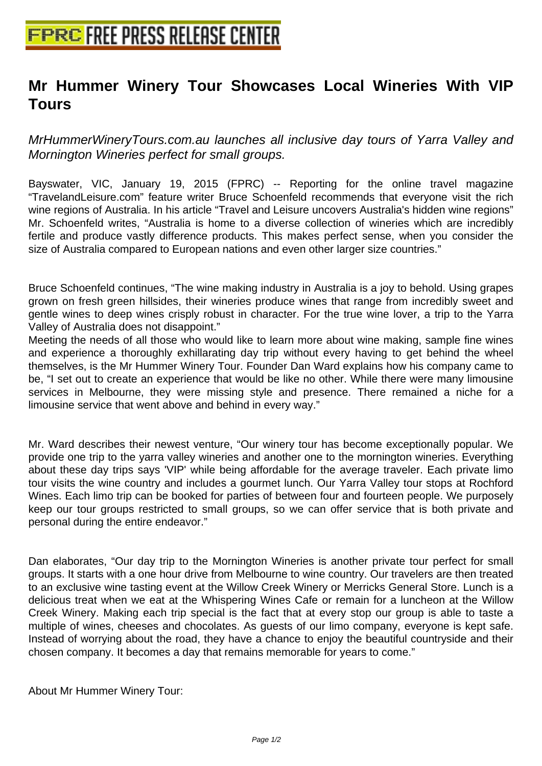## **[Mr Hummer Winery Tour Showc](http://www.free-press-release-center.info)ases Local Wineries With VIP Tours**

MrHummerWineryTours.com.au launches all inclusive day tours of Yarra Valley and Mornington Wineries perfect for small groups.

Bayswater, VIC, January 19, 2015 (FPRC) -- Reporting for the online travel magazine "TravelandLeisure.com" feature writer Bruce Schoenfeld recommends that everyone visit the rich wine regions of Australia. In his article "Travel and Leisure uncovers Australia's hidden wine regions" Mr. Schoenfeld writes, "Australia is home to a diverse collection of wineries which are incredibly fertile and produce vastly difference products. This makes perfect sense, when you consider the size of Australia compared to European nations and even other larger size countries."

Bruce Schoenfeld continues, "The wine making industry in Australia is a joy to behold. Using grapes grown on fresh green hillsides, their wineries produce wines that range from incredibly sweet and gentle wines to deep wines crisply robust in character. For the true wine lover, a trip to the Yarra Valley of Australia does not disappoint."

Meeting the needs of all those who would like to learn more about wine making, sample fine wines and experience a thoroughly exhillarating day trip without every having to get behind the wheel themselves, is the Mr Hummer Winery Tour. Founder Dan Ward explains how his company came to be, "I set out to create an experience that would be like no other. While there were many limousine services in Melbourne, they were missing style and presence. There remained a niche for a limousine service that went above and behind in every way."

Mr. Ward describes their newest venture, "Our winery tour has become exceptionally popular. We provide one trip to the yarra valley wineries and another one to the mornington wineries. Everything about these day trips says 'VIP' while being affordable for the average traveler. Each private limo tour visits the wine country and includes a gourmet lunch. Our Yarra Valley tour stops at Rochford Wines. Each limo trip can be booked for parties of between four and fourteen people. We purposely keep our tour groups restricted to small groups, so we can offer service that is both private and personal during the entire endeavor."

Dan elaborates, "Our day trip to the Mornington Wineries is another private tour perfect for small groups. It starts with a one hour drive from Melbourne to wine country. Our travelers are then treated to an exclusive wine tasting event at the Willow Creek Winery or Merricks General Store. Lunch is a delicious treat when we eat at the Whispering Wines Cafe or remain for a luncheon at the Willow Creek Winery. Making each trip special is the fact that at every stop our group is able to taste a multiple of wines, cheeses and chocolates. As guests of our limo company, everyone is kept safe. Instead of worrying about the road, they have a chance to enjoy the beautiful countryside and their chosen company. It becomes a day that remains memorable for years to come."

About Mr Hummer Winery Tour: